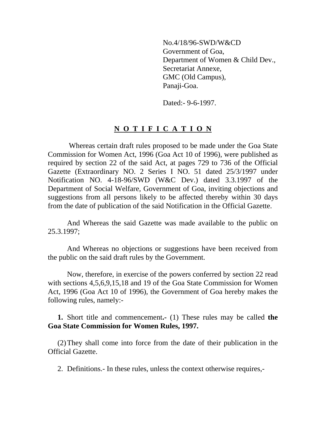No.4/18/96-SWD/W&CD Government of Goa, Department of Women & Child Dev., Secretariat Annexe, GMC (Old Campus), Panaji-Goa.

Dated:- 9-6-1997.

# **N O T I F I C A T I O N**

 Whereas certain draft rules proposed to be made under the Goa State Commission for Women Act, 1996 (Goa Act 10 of 1996), were published as required by section 22 of the said Act, at pages 729 to 736 of the Official Gazette (Extraordinary NO. 2 Series I NO. 51 dated 25/3/1997 under Notification NO. 4-18-96/SWD (W&C Dev.) dated 3.3.1997 of the Department of Social Welfare, Government of Goa, inviting objections and suggestions from all persons likely to be affected thereby within 30 days from the date of publication of the said Notification in the Official Gazette.

 And Whereas the said Gazette was made available to the public on 25.3.1997;

 And Whereas no objections or suggestions have been received from the public on the said draft rules by the Government.

 Now, therefore, in exercise of the powers conferred by section 22 read with sections 4,5,6,9,15,18 and 19 of the Goa State Commission for Women Act, 1996 (Goa Act 10 of 1996), the Government of Goa hereby makes the following rules, namely:-

**1.** Short title and commencement**.-** (1) These rules may be called **the Goa State Commission for Women Rules, 1997.** 

(2) They shall come into force from the date of their publication in the Official Gazette.

2. Definitions.- In these rules, unless the context otherwise requires,-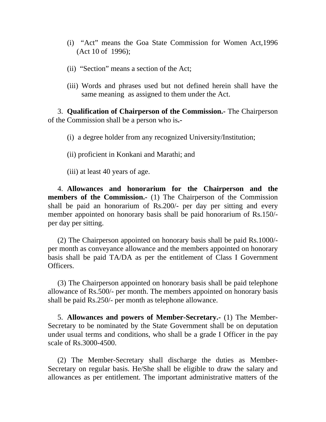- (i) "Act" means the Goa State Commission for Women Act,1996 (Act 10 of 1996);
- (ii) "Section" means a section of the Act;
- (iii) Words and phrases used but not defined herein shall have the same meaning as assigned to them under the Act.

3. **Qualification of Chairperson of the Commission.-** The Chairperson of the Commission shall be a person who is**.-**

(i) a degree holder from any recognized University/Institution;

(ii) proficient in Konkani and Marathi; and

(iii) at least 40 years of age.

4. **Allowances and honorarium for the Chairperson and the members of the Commission.-** (1) The Chairperson of the Commission shall be paid an honorarium of Rs.200/- per day per sitting and every member appointed on honorary basis shall be paid honorarium of Rs.150/ per day per sitting.

(2) The Chairperson appointed on honorary basis shall be paid Rs.1000/ per month as conveyance allowance and the members appointed on honorary basis shall be paid TA/DA as per the entitlement of Class I Government Officers.

(3) The Chairperson appointed on honorary basis shall be paid telephone allowance of Rs.500/- per month. The members appointed on honorary basis shall be paid Rs.250/- per month as telephone allowance.

5. **Allowances and powers of Member-Secretary.-** (1) The Member-Secretary to be nominated by the State Government shall be on deputation under usual terms and conditions, who shall be a grade I Officer in the pay scale of Rs.3000-4500.

(2) The Member-Secretary shall discharge the duties as Member-Secretary on regular basis. He/She shall be eligible to draw the salary and allowances as per entitlement. The important administrative matters of the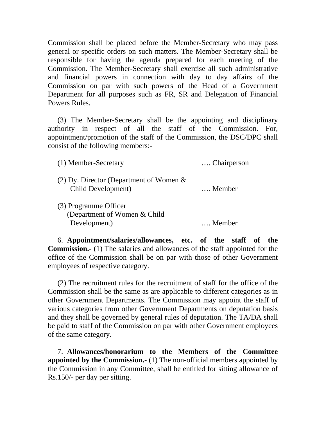Commission shall be placed before the Member-Secretary who may pass general or specific orders on such matters. The Member-Secretary shall be responsible for having the agenda prepared for each meeting of the Commission. The Member-Secretary shall exercise all such administrative and financial powers in connection with day to day affairs of the Commission on par with such powers of the Head of a Government Department for all purposes such as FR, SR and Delegation of Financial Powers Rules.

(3) The Member-Secretary shall be the appointing and disciplinary authority in respect of all the staff of the Commission. For, appointment/promotion of the staff of the Commission, the DSC/DPC shall consist of the following members:-

| Chairperson |
|-------------|
| Member      |
|             |
| Member      |
|             |

6. **Appointment/salaries/allowances, etc. of the staff of the Commission.-** (1) The salaries and allowances of the staff appointed for the office of the Commission shall be on par with those of other Government employees of respective category.

(2) The recruitment rules for the recruitment of staff for the office of the Commission shall be the same as are applicable to different categories as in other Government Departments. The Commission may appoint the staff of various categories from other Government Departments on deputation basis and they shall be governed by general rules of deputation. The TA/DA shall be paid to staff of the Commission on par with other Government employees of the same category.

7. **Allowances/honorarium to the Members of the Committee appointed by the Commission.-** (1) The non-official members appointed by the Commission in any Committee, shall be entitled for sitting allowance of Rs.150/- per day per sitting.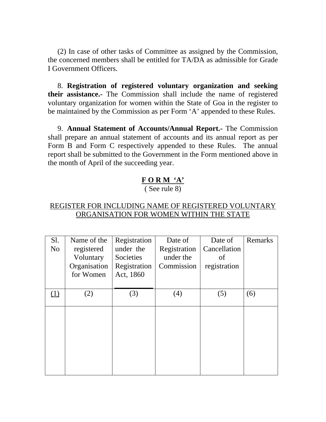(2) In case of other tasks of Committee as assigned by the Commission, the concerned members shall be entitled for TA/DA as admissible for Grade I Government Officers.

8. **Registration of registered voluntary organization and seeking their assistance.-** The Commission shall include the name of registered voluntary organization for women within the State of Goa in the register to be maintained by the Commission as per Form 'A' appended to these Rules.

9. **Annual Statement of Accounts/Annual Report.-** The Commission shall prepare an annual statement of accounts and its annual report as per Form B and Form C respectively appended to these Rules. The annual report shall be submitted to the Government in the Form mentioned above in the month of April of the succeeding year.

# **F O R M 'A'**

( See rule 8)

## REGISTER FOR INCLUDING NAME OF REGISTERED VOLUNTARY ORGANISATION FOR WOMEN WITHIN THE STATE

| S1.<br>N <sub>o</sub> | Name of the<br>registered<br>Voluntary<br>Organisation<br>for Women | Registration<br>under the<br>Societies<br>Registration<br>Act, 1860 | Date of<br>Registration<br>under the<br>Commission | Date of<br>Cancellation<br>of<br>registration | Remarks |
|-----------------------|---------------------------------------------------------------------|---------------------------------------------------------------------|----------------------------------------------------|-----------------------------------------------|---------|
| (1)                   | (2)                                                                 | (3)                                                                 | (4)                                                | (5)                                           | (6)     |
|                       |                                                                     |                                                                     |                                                    |                                               |         |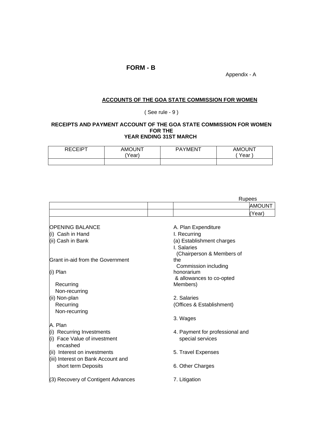## **FORM - B**

Appendix - A

## **ACCOUNTS OF THE GOA STATE COMMISSION FOR WOMEN**

( See rule - 9 )

#### **RECEIPTS AND PAYMENT ACCOUNT OF THE GOA STATE COMMISSION FOR WOMEN FOR THE YEAR ENDING 31ST MARCH**

| <b>DECEIDT</b> | <b>AMOUNT</b><br>'Year) | PAYMENT | <b>AMOUNT</b><br>Year, |
|----------------|-------------------------|---------|------------------------|
|                |                         |         |                        |

|                                         | <b>Rupees</b>                   |
|-----------------------------------------|---------------------------------|
|                                         | AMOUNT                          |
|                                         | (Year)                          |
| OPENING BALANCE                         | A. Plan Expenditure             |
| (i) Cash in Hand                        | I. Recurring                    |
| (ii) Cash in Bank                       | (a) Establishment charges       |
|                                         | I. Salaries                     |
|                                         | (Chairperson & Members of       |
| <b>Grant in-aid from the Government</b> | the                             |
|                                         | Commission including            |
| (i) Plan                                | honorarium                      |
|                                         | & allowances to co-opted        |
| Recurring                               | Members)                        |
| Non-recurring                           |                                 |
| (ii) Non-plan                           | 2. Salaries                     |
| Recurring                               | (Offices & Establishment)       |
| Non-recurring                           |                                 |
|                                         | 3. Wages                        |
| A. Plan                                 |                                 |
| (i) Recurring Investments               | 4. Payment for professional and |
| (i) Face Value of investment            | special services                |
| encashed                                |                                 |
| (ii) Interest on investments            | 5. Travel Expenses              |
| (iii) Interest on Bank Account and      |                                 |
| short term Deposits                     | 6. Other Charges                |
|                                         |                                 |
| (3) Recovery of Contigent Advances      | 7. Litigation                   |
|                                         |                                 |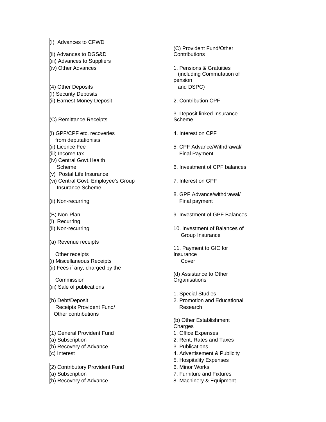(I) Advances to CPWD (ii) Advances to DGS&D (iii) Advances to Suppliers (iv) Other Advances 1. Pensions & Gratuities (4) Other Deposits and DSPC) (I) Security Deposits (ii) Earnest Money Deposit 2. Contribution CPF (C) Remittance Receipts  $(i)$  GPF/CPF etc. recoveries  $4.$  Interest on CPF from deputationists (iii) Income tax **Final Payment** (iv) Central Govt.Health (v) Postal Life Insurance (vi) Central Govt. Employee's Group 7. Interest on GPF Insurance Scheme (ii) Non-recurring Final payment (i) Recurring (a) Revenue receipts Other receipts (i) Miscellaneous Receipts **Cover** (ii) Fees if any, charged by the **Commission** (iii) Sale of publications Receipts Provident Fund/ Research Other contributions (1) General Provident Fund 1. Office Expenses (a) Subscription 2. Rent, Rates and Taxes  $(6)$  Recovery of Advance  $(3)$ . Publications  $(2)$  Contributory Provident Fund 6. Minor Works (a) Subscription 7. Furniture and Fixtures  $($ b) Recovery of Advance  $\blacksquare$  8. Machinery & Equipment

(C) Provident Fund/Other **Contributions**  (including Commutation of pension 3. Deposit linked Insurance Scheme (ii) Licence Fee 5. CPF Advance/Withdrawal/ Scheme 6. Investment of CPF balances 8. GPF Advance/withdrawal/ (B) Non-Plan 9. Investment of GPF Balances (ii) Non-recurring 10. Investment of Balances of Group Insurance 11. Payment to GIC for Insurance (d) Assistance to Other **Organisations**  1. Special Studies (b) Debt/Deposit 2. Promotion and Educational (b) Other Establishment Charges (c) Interest **4. Advertisement & Publicity** 5. Hospitality Expenses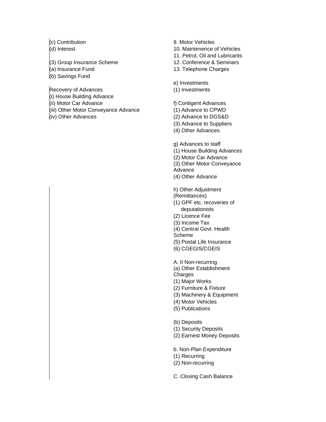- (3) Group Insurance Scheme 12. Conference & Seminars
- 
- (b) Savings Fund

Recovery of Advances (1) Investments

- (i) House Building Advance
- (ii) Motor Car Advance f) Contigent Advances
- (iii) Other Motor Conveyance Advance (1) Advance to CPWD
- 

### (c) Contribution 9. Motor Vehicles

- (d) Interest 10. Maintenence of Vehicles
	- 11. Petrol, Oil and Lubricants
	-
- (a) Insurance Fund 13. Telephone Charges

#### e) Investments

- 
- (iv) Other Advances (2) Advance to DGS&D
	- (3) Advance to Suppliers
	- (4) Other Advances
	- g) Advances to staff
	- (1) House Building Advances
	- (2) Motor Car Advance
	- (3) Other Motor Conveyance
	- Advance
	- (4) Other Advance

h) Other Adjustment

- (Remittances)
- (1) GPF etc. recoveries of deputationists
- (2) Licence Fee
- (3) Income Tax
- (4) Central Govt. Health
- Scheme
- (5) Postal Life Insurance
- (6) CGEGIS/CGEIS
- A. II Non-recurring
- (a) Other Establishment
- **Charges**
- (1) Major Works
- (2) Furniture & Fixture
- (3) Machinery & Equipment
- (4) Motor Vehicles
- (5) Publications
- (b) Deposits
- (1) Security Deposits
- (2) Earnest Money Deposits
- b. Non-Plan Expenditure
- (1) Recurring
- (2) Non-recurring
- C. Closing Cash Balance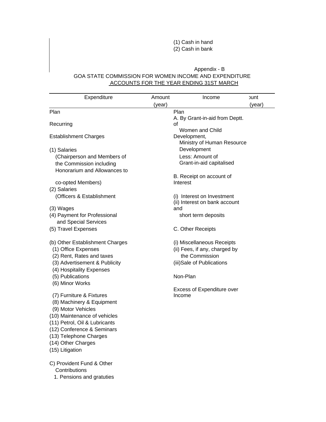(1) Cash in hand (2) Cash in bank

#### Appendix - B GOA STATE COMMISSION FOR WOMEN INCOME AND EXPENDITURE ACCOUNTS FOR THE YEAR ENDING 31ST MARCH

| Expenditure                                                 | Amount | Income                                                        | วนทt   |
|-------------------------------------------------------------|--------|---------------------------------------------------------------|--------|
|                                                             | (year) |                                                               | (year) |
| Plan                                                        |        | Plan                                                          |        |
| Recurring                                                   |        | A. By Grant-in-aid from Deptt.<br>οf                          |        |
| <b>Establishment Charges</b>                                |        | Women and Child<br>Development,<br>Ministry of Human Resource |        |
| (1) Salaries                                                |        | Development                                                   |        |
| (Chairperson and Members of                                 |        | Less: Amount of                                               |        |
| the Commission including                                    |        | Grant-in-aid capitalised                                      |        |
| Honorarium and Allowances to                                |        |                                                               |        |
|                                                             |        | B. Receipt on account of                                      |        |
| co-opted Members)                                           |        | Interest                                                      |        |
| (2) Salaries                                                |        |                                                               |        |
| (Officers & Establishment                                   |        | (i) Interest on Investment<br>(ii) Interest on bank account   |        |
| (3) Wages                                                   |        | and                                                           |        |
| (4) Payment for Professional                                |        | short term deposits                                           |        |
| and Special Services                                        |        |                                                               |        |
| (5) Travel Expenses                                         |        | C. Other Receipts                                             |        |
|                                                             |        |                                                               |        |
| (b) Other Establishment Charges                             |        | (i) Miscellaneous Receipts                                    |        |
| (1) Office Expenses                                         |        | (ii) Fees, if any, charged by                                 |        |
| (2) Rent, Rates and taxes                                   |        | the Commission                                                |        |
| (3) Advertisement & Publicity                               |        | (iii)Sale of Publications                                     |        |
| (4) Hospitality Expenses                                    |        |                                                               |        |
| (5) Publications                                            |        | Non-Plan                                                      |        |
| (6) Minor Works                                             |        |                                                               |        |
|                                                             |        | <b>Excess of Expenditure over</b>                             |        |
| (7) Furniture & Fixtures                                    |        | Income                                                        |        |
| (8) Machinery & Equipment                                   |        |                                                               |        |
| (9) Motor Vehicles                                          |        |                                                               |        |
| (10) Maintenance of vehicles                                |        |                                                               |        |
| (11) Petrol, Oil & Lubricants<br>(12) Conference & Seminars |        |                                                               |        |
| (13) Telephone Charges                                      |        |                                                               |        |
| (14) Other Charges                                          |        |                                                               |        |
| (15) Litigation                                             |        |                                                               |        |
|                                                             |        |                                                               |        |
| C) Provident Fund & Other                                   |        |                                                               |        |
| Contributions                                               |        |                                                               |        |
| 1. Pensions and gratuties                                   |        |                                                               |        |
|                                                             |        |                                                               |        |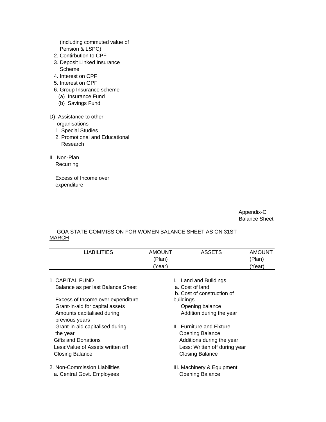(including commuted value of Pension & LSPC)

- 2. Contirbution to CPF
- 3. Deposit Linked Insurance Scheme
- 4. Interest on CPF
- 5. Interest on GPF
- 6. Group Insurance scheme
	- (a) Insurance Fund
	- (b) Savings Fund
- D) Assistance to other
	- organisations
	- 1. Special Studies
	- 2. Promotional and Educational Research
- II. Non-Plan **Recurring**

 Excess of Income over expenditure

> Appendix-C Balance Sheet

### GOA STATE COMMISSION FOR WOMEN BALANCE SHEET AS ON 31ST MARCH

| <b>LIABILITIES</b>                | <b>AMOUNT</b> | <b>ASSETS</b>                 | <b>AMOUNT</b> |
|-----------------------------------|---------------|-------------------------------|---------------|
|                                   | (Plan)        |                               | (Plan)        |
|                                   | (Year)        |                               | (Year)        |
|                                   |               |                               |               |
| 1. CAPITAL FUND                   |               | I. Land and Buildings         |               |
| Balance as per last Balance Sheet |               | a. Cost of land               |               |
|                                   |               | b. Cost of construction of    |               |
| Excess of Income over expenditure |               | buildings                     |               |
| Grant-in-aid for capital assets   |               | Opening balance               |               |
| Amounts capitalised during        |               | Addition during the year      |               |
| previous years                    |               |                               |               |
| Grant-in-aid capitalised during   |               | II. Furniture and Fixture     |               |
| the year                          |               | <b>Opening Balance</b>        |               |
| Gifts and Donations               |               | Additions during the year     |               |
| Less: Value of Assets written off |               | Less: Written off during year |               |
| Closing Balance                   |               | <b>Closing Balance</b>        |               |
|                                   |               |                               |               |
| 2. Non-Commission Liabilities     |               | III. Machinery & Equipment    |               |
| a. Central Govt. Employees        |               | <b>Opening Balance</b>        |               |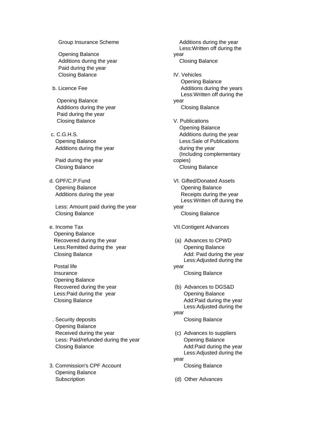Opening Balance Additions during the year Closing Balance Paid during the year Closing Balance IV. Vehicles

 Opening Balance Additions during the year Closing Balance Paid during the year Closing Balance V. Publications

Additions during the year example of the year during the year

Paid during the year

**Opening Balance Opening Balance** 

 Less: Amount paid during the year Closing Balance Closing Balance

- Opening Balance Recovered during the year (a) Advances to CPWD Less: Remitted during the year **Channel Containst Container Containst Containst Containst Containst Containst Containst Containst Containst Containst Containst Containst Containst Containst Containst Containst Containst Co**
- Postal life Insurance Closing Balance Opening Balance Less:Paid during the year Changel Change Cheming Balance
- . Security deposits **Closing Balance**  Opening Balance Received during the year **Exercise 20** (c) Advances to suppliers Less: Paid/refunded during the year **Channel Conventity** Opening Balance Closing Balance **Add:** Paid during the year
- 3. Commission's CPF Account Closing Balance Opening Balance Subscription (d) Other Advances

Group Insurance Scheme **Additions** during the year Less:Written off during the year Opening Balance b. Licence Fee **Additions during the years** Additions during the years Less:Written off during the year Opening Balance c. C.G.H.S. **C.G.H.S.** Additions during the year Opening Balance Less:Sale of Publications (Including complementary copies) Closing Balance Closing Balance d. GPF/C.P.Fund VI. Gifted/Donated Assets Additions during the year **Receipts** during the year Less:Written off during the year e. Income Tax VII.Contigent Advances Closing Balance **Add:** Paid during the year Less:Adjusted during the year Recovered during the year (b) Advances to DGS&D Closing Balance **Add:Paid during the year**  Less:Adjusted during the year Less:Adjusted during the year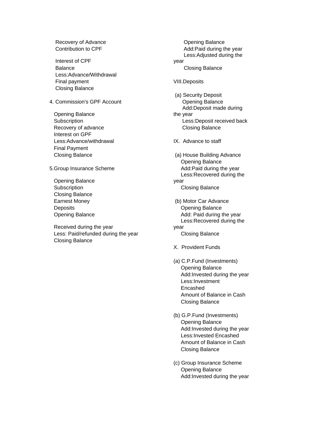Interest of CPF Balance **Closing Balance**  Less:Advance/Withdrawal Final payment The Contract Contract Contract Contract Contract Contract Contract Contract Contract Contract Contract Contract Contract Contract Contract Contract Contract Contract Contract Contract Contract Contract Contra Closing Balance

4. Commission's GPF Account **Commission's GPF Account** 

 Opening Balance Recovery of advance **Closing Balance Closing Balance**  Interest on GPF Less:Advance/withdrawal **IX.** Advance to staff Final Payment

 Opening Balance Closing Balance

 Received during the year Less: Paid/refunded during the year Closing Balance Closing Balance

Recovery of Advance **Contact Contact Advance Opening Balance** Contribution to CPF **Add:Paid during the year** Add:Paid during the year Less:Adjusted during the year (a) Security Deposit Add:Deposit made during the year Subscription Less:Deposit received back Closing Balance (a) House Building Advance Opening Balance 5.Group Insurance Scheme **Add:Paid during the year** Add:Paid during the year Less:Recovered during the year Subscription **Closing Balance**  Earnest Money (b) Motor Car Advance Deposits **Opening Balance** Opening Balance **Add:** Paid during the year Less:Recovered during the year X. Provident Funds (a) C.P.Fund (Investments) Opening Balance Add:Invested during the year Less:Investment Encashed Amount of Balance in Cash Closing Balance (b) G.P.Fund (Investments) Opening Balance Add:Invested during the year Less:Invested Encashed Amount of Balance in Cash Closing Balance (c) Group Insurance Scheme Opening Balance Add:Invested during the year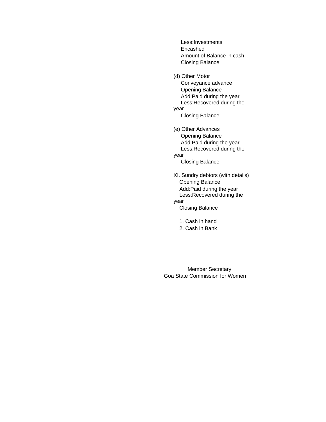Less:Investments Encashed Amount of Balance in cash Closing Balance

(d) Other Motor Conveyance advance Opening Balance Add:Paid during the year Less:Recovered during the year

Closing Balance

(e) Other Advances Opening Balance Add:Paid during the year Less:Recovered during the year Closing Balance

XI. Sundry debtors (with details) Opening Balance Add:Paid during the year Less:Recovered during the year Closing Balance

 1. Cash in hand 2. Cash in Bank

 Member Secretary Goa State Commission for Women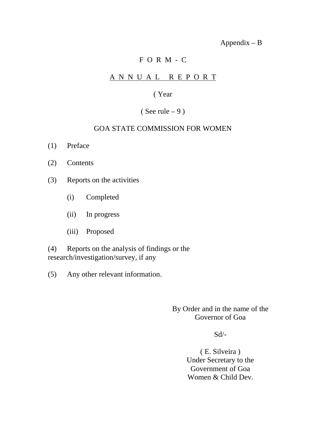Appendix – B

# F O R M - C

# A N N U A L R E P O R T

## ( Year

# ( See rule  $-9$  )

## GOA STATE COMMISSION FOR WOMEN

- (1) Preface
- (2) Contents
- (3) Reports on the activities
	- (i) Completed
	- (ii) In progress
	- (iii) Proposed

(4) Reports on the analysis of findings or the research/investigation/survey, if any

(5) Any other relevant information.

## By Order and in the name of the Governor of Goa

## $Sd$ <sup>-</sup>

( E. Silveira ) Under Secretary to the Government of Goa Women & Child Dev.